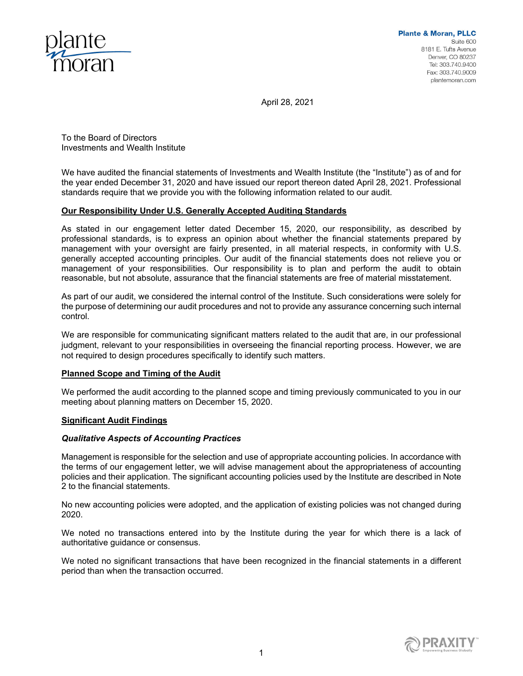

April 28, 2021

To the Board of Directors Investments and Wealth Institute

We have audited the financial statements of Investments and Wealth Institute (the "Institute") as of and for the year ended December 31, 2020 and have issued our report thereon dated April 28, 2021. Professional standards require that we provide you with the following information related to our audit.

## **Our Responsibility Under U.S. Generally Accepted Auditing Standards**

As stated in our engagement letter dated December 15, 2020, our responsibility, as described by professional standards, is to express an opinion about whether the financial statements prepared by management with your oversight are fairly presented, in all material respects, in conformity with U.S. generally accepted accounting principles. Our audit of the financial statements does not relieve you or management of your responsibilities. Our responsibility is to plan and perform the audit to obtain reasonable, but not absolute, assurance that the financial statements are free of material misstatement.

As part of our audit, we considered the internal control of the Institute. Such considerations were solely for the purpose of determining our audit procedures and not to provide any assurance concerning such internal control.

We are responsible for communicating significant matters related to the audit that are, in our professional judgment, relevant to your responsibilities in overseeing the financial reporting process. However, we are not required to design procedures specifically to identify such matters.

## **Planned Scope and Timing of the Audit**

We performed the audit according to the planned scope and timing previously communicated to you in our meeting about planning matters on December 15, 2020.

## **Significant Audit Findings**

## *Qualitative Aspects of Accounting Practices*

Management is responsible for the selection and use of appropriate accounting policies. In accordance with the terms of our engagement letter, we will advise management about the appropriateness of accounting policies and their application. The significant accounting policies used by the Institute are described in Note 2 to the financial statements.

No new accounting policies were adopted, and the application of existing policies was not changed during 2020.

We noted no transactions entered into by the Institute during the year for which there is a lack of authoritative guidance or consensus.

We noted no significant transactions that have been recognized in the financial statements in a different period than when the transaction occurred.

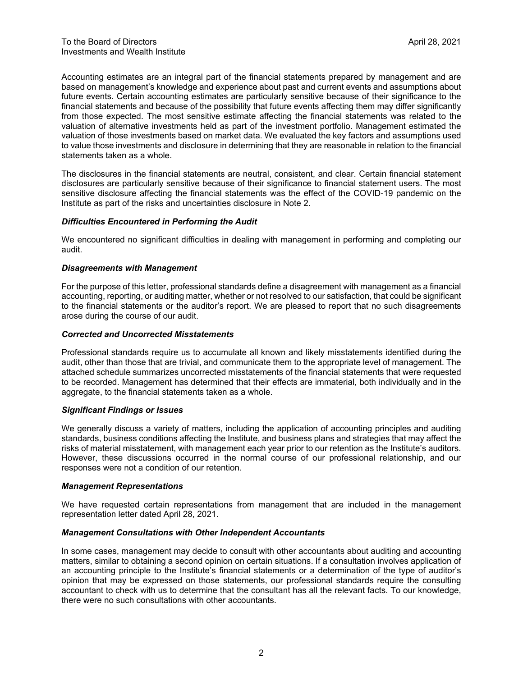Accounting estimates are an integral part of the financial statements prepared by management and are based on management's knowledge and experience about past and current events and assumptions about future events. Certain accounting estimates are particularly sensitive because of their significance to the financial statements and because of the possibility that future events affecting them may differ significantly from those expected. The most sensitive estimate affecting the financial statements was related to the valuation of alternative investments held as part of the investment portfolio. Management estimated the valuation of those investments based on market data. We evaluated the key factors and assumptions used to value those investments and disclosure in determining that they are reasonable in relation to the financial statements taken as a whole.

The disclosures in the financial statements are neutral, consistent, and clear. Certain financial statement disclosures are particularly sensitive because of their significance to financial statement users. The most sensitive disclosure affecting the financial statements was the effect of the COVID-19 pandemic on the Institute as part of the risks and uncertainties disclosure in Note 2.

#### *Difficulties Encountered in Performing the Audit*

We encountered no significant difficulties in dealing with management in performing and completing our audit.

#### *Disagreements with Management*

For the purpose of this letter, professional standards define a disagreement with management as a financial accounting, reporting, or auditing matter, whether or not resolved to our satisfaction, that could be significant to the financial statements or the auditor's report. We are pleased to report that no such disagreements arose during the course of our audit.

#### *Corrected and Uncorrected Misstatements*

Professional standards require us to accumulate all known and likely misstatements identified during the audit, other than those that are trivial, and communicate them to the appropriate level of management. The attached schedule summarizes uncorrected misstatements of the financial statements that were requested to be recorded. Management has determined that their effects are immaterial, both individually and in the aggregate, to the financial statements taken as a whole.

#### *Significant Findings or Issues*

We generally discuss a variety of matters, including the application of accounting principles and auditing standards, business conditions affecting the Institute, and business plans and strategies that may affect the risks of material misstatement, with management each year prior to our retention as the Institute's auditors. However, these discussions occurred in the normal course of our professional relationship, and our responses were not a condition of our retention.

## *Management Representations*

We have requested certain representations from management that are included in the management representation letter dated April 28, 2021.

## *Management Consultations with Other Independent Accountants*

In some cases, management may decide to consult with other accountants about auditing and accounting matters, similar to obtaining a second opinion on certain situations. If a consultation involves application of an accounting principle to the Institute's financial statements or a determination of the type of auditor's opinion that may be expressed on those statements, our professional standards require the consulting accountant to check with us to determine that the consultant has all the relevant facts. To our knowledge, there were no such consultations with other accountants.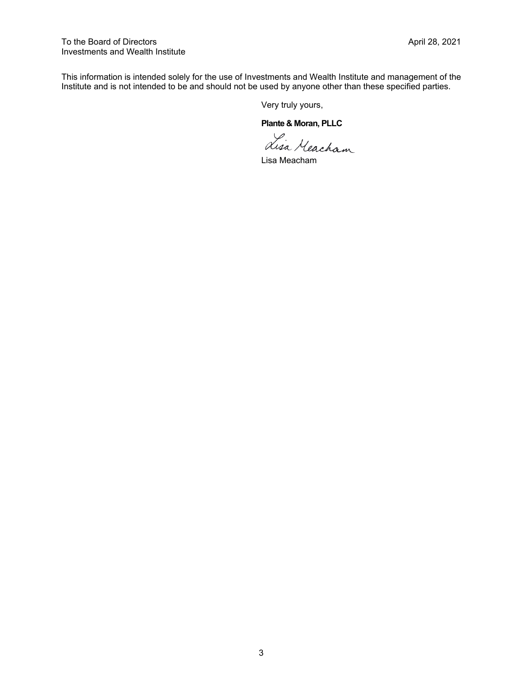This information is intended solely for the use of Investments and Wealth Institute and management of the Institute and is not intended to be and should not be used by anyone other than these specified parties.

Very truly yours,

**Plante & Moran, PLLC** 

Lisa Meacham

Lisa Meacham